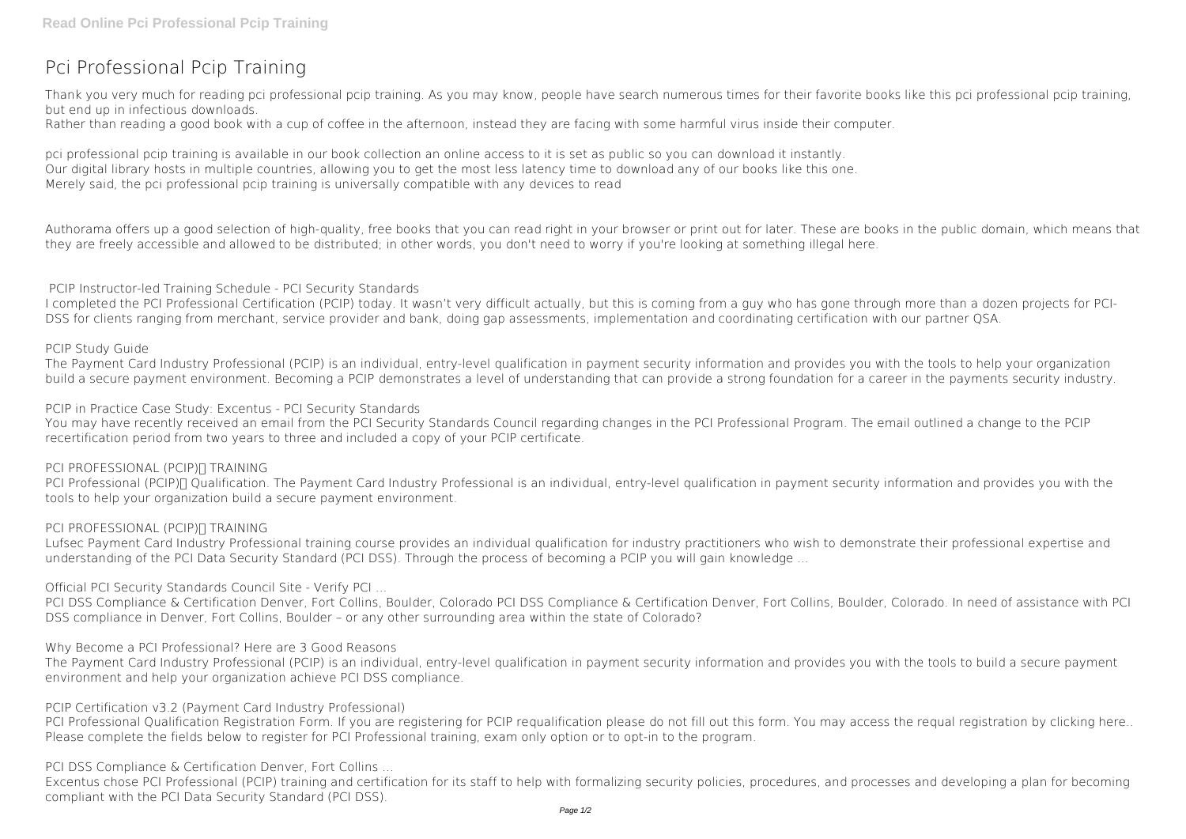# **Pci Professional Pcip Training**

Thank you very much for reading **pci professional pcip training**. As you may know, people have search numerous times for their favorite books like this pci professional pcip training, but end up in infectious downloads.

Rather than reading a good book with a cup of coffee in the afternoon, instead they are facing with some harmful virus inside their computer.

pci professional pcip training is available in our book collection an online access to it is set as public so you can download it instantly. Our digital library hosts in multiple countries, allowing you to get the most less latency time to download any of our books like this one. Merely said, the pci professional pcip training is universally compatible with any devices to read

Authorama offers up a good selection of high-quality, free books that you can read right in your browser or print out for later. These are books in the public domain, which means that they are freely accessible and allowed to be distributed; in other words, you don't need to worry if you're looking at something illegal here.

# **PCIP Instructor-led Training Schedule - PCI Security Standards**

PCI Professional (PCIP)∏ Qualification. The Payment Card Industry Professional is an individual, entry-level qualification in payment security information and provides you with the tools to help your organization build a secure payment environment.

# **PCI PROFESSIONAL (PCIP)∏ TRAINING**

I completed the PCI Professional Certification (PCIP) today. It wasn't very difficult actually, but this is coming from a guy who has gone through more than a dozen projects for PCI-DSS for clients ranging from merchant, service provider and bank, doing gap assessments, implementation and coordinating certification with our partner QSA.

## **PCIP Study Guide**

PCI DSS Compliance & Certification Denver, Fort Collins, Boulder, Colorado PCI DSS Compliance & Certification Denver, Fort Collins, Boulder, Colorado. In need of assistance with PCI DSS compliance in Denver, Fort Collins, Boulder – or any other surrounding area within the state of Colorado?

The Payment Card Industry Professional (PCIP) is an individual, entry-level qualification in payment security information and provides you with the tools to help your organization build a secure payment environment. Becoming a PCIP demonstrates a level of understanding that can provide a strong foundation for a career in the payments security industry.

## **PCIP in Practice Case Study: Excentus - PCI Security Standards**

PCI Professional Qualification Registration Form. If you are registering for PCIP requalification please do not fill out this form. You may access the requal registration by clicking here.. Please complete the fields below to register for PCI Professional training, exam only option or to opt-in to the program.

You may have recently received an email from the PCI Security Standards Council regarding changes in the PCI Professional Program. The email outlined a change to the PCIP recertification period from two years to three and included a copy of your PCIP certificate.

#### **PCI PROFESSIONAL (PCIP)∏ TRAINING**

Lufsec Payment Card Industry Professional training course provides an individual qualification for industry practitioners who wish to demonstrate their professional expertise and understanding of the PCI Data Security Standard (PCI DSS). Through the process of becoming a PCIP you will gain knowledge ...

**Official PCI Security Standards Council Site - Verify PCI ...**

#### **Why Become a PCI Professional? Here are 3 Good Reasons**

The Payment Card Industry Professional (PCIP) is an individual, entry-level qualification in payment security information and provides you with the tools to build a secure payment environment and help your organization achieve PCI DSS compliance.

#### **PCIP Certification v3.2 (Payment Card Industry Professional)**

# **PCI DSS Compliance & Certification Denver, Fort Collins ...**

Excentus chose PCI Professional (PCIP) training and certification for its staff to help with formalizing security policies, procedures, and processes and developing a plan for becoming compliant with the PCI Data Security Standard (PCI DSS).